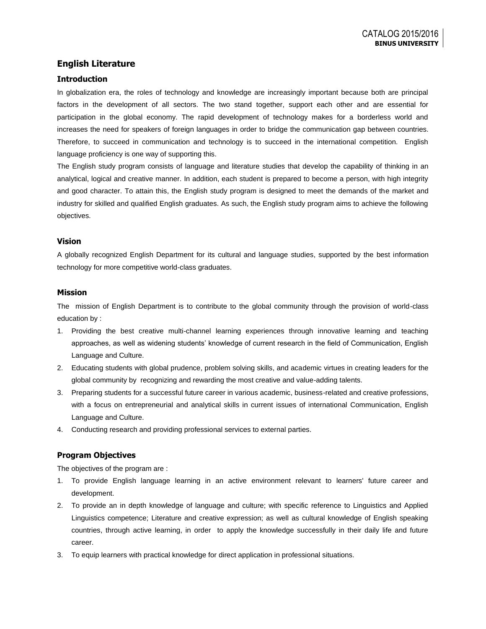## **English Literature**

### **Introduction**

In globalization era, the roles of technology and knowledge are increasingly important because both are principal factors in the development of all sectors. The two stand together, support each other and are essential for participation in the global economy. The rapid development of technology makes for a borderless world and increases the need for speakers of foreign languages in order to bridge the communication gap between countries. Therefore, to succeed in communication and technology is to succeed in the international competition. English language proficiency is one way of supporting this.

The English study program consists of language and literature studies that develop the capability of thinking in an analytical, logical and creative manner. In addition, each student is prepared to become a person, with high integrity and good character. To attain this, the English study program is designed to meet the demands of the market and industry for skilled and qualified English graduates. As such, the English study program aims to achieve the following objectives.

#### **Vision**

A globally recognized English Department for its cultural and language studies, supported by the best information technology for more competitive world-class graduates.

#### **Mission**

The mission of English Department is to contribute to the global community through the provision of world-class education by :

- 1. Providing the best creative multi-channel learning experiences through innovative learning and teaching approaches, as well as widening students' knowledge of current research in the field of Communication, English Language and Culture.
- 2. Educating students with global prudence, problem solving skills, and academic virtues in creating leaders for the global community by recognizing and rewarding the most creative and value-adding talents.
- 3. Preparing students for a successful future career in various academic, business-related and creative professions, with a focus on entrepreneurial and analytical skills in current issues of international Communication, English Language and Culture.
- 4. Conducting research and providing professional services to external parties.

## **Program Objectives**

The objectives of the program are :

- 1. To provide English language learning in an active environment relevant to learners' future career and development.
- 2. To provide an in depth knowledge of language and culture; with specific reference to Linguistics and Applied Linguistics competence; Literature and creative expression; as well as cultural knowledge of English speaking countries, through active learning, in order to apply the knowledge successfully in their daily life and future career.
- 3. To equip learners with practical knowledge for direct application in professional situations.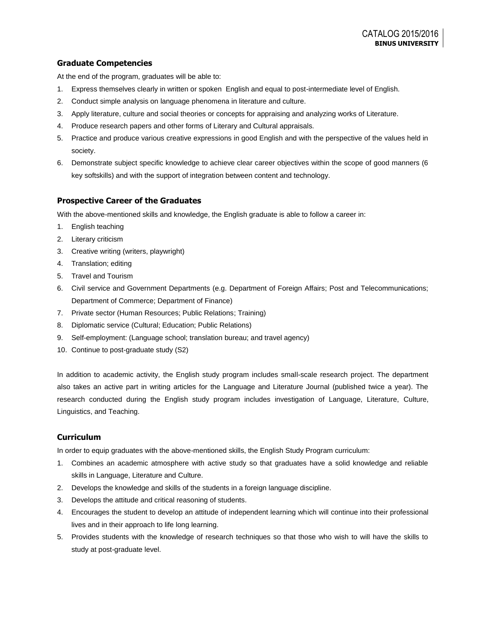## **Graduate Competencies**

At the end of the program, graduates will be able to:

- 1. Express themselves clearly in written or spoken English and equal to post-intermediate level of English.
- 2. Conduct simple analysis on language phenomena in literature and culture.
- 3. Apply literature, culture and social theories or concepts for appraising and analyzing works of Literature.
- 4. Produce research papers and other forms of Literary and Cultural appraisals.
- 5. Practice and produce various creative expressions in good English and with the perspective of the values held in society.
- 6. Demonstrate subject specific knowledge to achieve clear career objectives within the scope of good manners (6 key softskills) and with the support of integration between content and technology.

## **Prospective Career of the Graduates**

With the above-mentioned skills and knowledge, the English graduate is able to follow a career in:

- 1. English teaching
- 2. Literary criticism
- 3. Creative writing (writers, playwright)
- 4. Translation; editing
- 5. Travel and Tourism
- 6. Civil service and Government Departments (e.g. Department of Foreign Affairs; Post and Telecommunications; Department of Commerce; Department of Finance)
- 7. Private sector (Human Resources; Public Relations; Training)
- 8. Diplomatic service (Cultural; Education; Public Relations)
- 9. Self-employment: (Language school; translation bureau; and travel agency)
- 10. Continue to post-graduate study (S2)

In addition to academic activity, the English study program includes small-scale research project. The department also takes an active part in writing articles for the Language and Literature Journal (published twice a year). The research conducted during the English study program includes investigation of Language, Literature, Culture, Linguistics, and Teaching.

## **Curriculum**

In order to equip graduates with the above-mentioned skills, the English Study Program curriculum:

- 1. Combines an academic atmosphere with active study so that graduates have a solid knowledge and reliable skills in Language, Literature and Culture.
- 2. Develops the knowledge and skills of the students in a foreign language discipline.
- 3. Develops the attitude and critical reasoning of students.
- 4. Encourages the student to develop an attitude of independent learning which will continue into their professional lives and in their approach to life long learning.
- 5. Provides students with the knowledge of research techniques so that those who wish to will have the skills to study at post-graduate level.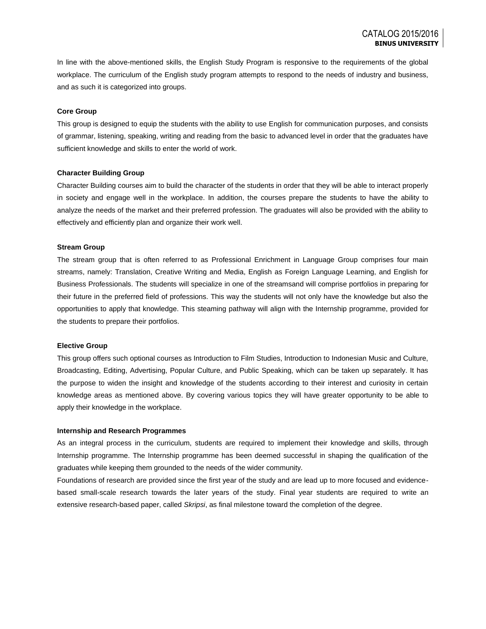In line with the above-mentioned skills, the English Study Program is responsive to the requirements of the global workplace. The curriculum of the English study program attempts to respond to the needs of industry and business, and as such it is categorized into groups.

#### **Core Group**

This group is designed to equip the students with the ability to use English for communication purposes, and consists of grammar, listening, speaking, writing and reading from the basic to advanced level in order that the graduates have sufficient knowledge and skills to enter the world of work.

#### **Character Building Group**

Character Building courses aim to build the character of the students in order that they will be able to interact properly in society and engage well in the workplace. In addition, the courses prepare the students to have the ability to analyze the needs of the market and their preferred profession. The graduates will also be provided with the ability to effectively and efficiently plan and organize their work well.

#### **Stream Group**

The stream group that is often referred to as Professional Enrichment in Language Group comprises four main streams, namely: Translation, Creative Writing and Media, English as Foreign Language Learning, and English for Business Professionals. The students will specialize in one of the streamsand will comprise portfolios in preparing for their future in the preferred field of professions. This way the students will not only have the knowledge but also the opportunities to apply that knowledge. This steaming pathway will align with the Internship programme, provided for the students to prepare their portfolios.

#### **Elective Group**

This group offers such optional courses as Introduction to Film Studies, Introduction to Indonesian Music and Culture, Broadcasting, Editing, Advertising, Popular Culture, and Public Speaking, which can be taken up separately. It has the purpose to widen the insight and knowledge of the students according to their interest and curiosity in certain knowledge areas as mentioned above. By covering various topics they will have greater opportunity to be able to apply their knowledge in the workplace.

#### **Internship and Research Programmes**

As an integral process in the curriculum, students are required to implement their knowledge and skills, through Internship programme. The Internship programme has been deemed successful in shaping the qualification of the graduates while keeping them grounded to the needs of the wider community.

Foundations of research are provided since the first year of the study and are lead up to more focused and evidencebased small-scale research towards the later years of the study. Final year students are required to write an extensive research-based paper, called *Skripsi*, as final milestone toward the completion of the degree.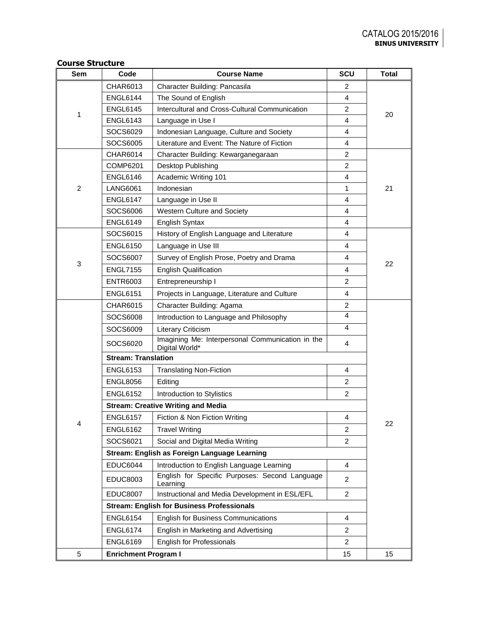## **Course Structure**

| CHAR6013<br>Character Building: Pancasila<br>$\overline{c}$<br>$\overline{4}$<br><b>ENGL6144</b><br>The Sound of English<br>Intercultural and Cross-Cultural Communication<br>$\overline{c}$<br><b>ENGL6145</b><br>1<br>20<br><b>ENGL6143</b><br>Language in Use I<br>4<br>SOCS6029<br>Indonesian Language, Culture and Society<br>4<br>SOCS6005<br>Literature and Event: The Nature of Fiction<br>4<br>$\overline{c}$<br><b>CHAR6014</b><br>Character Building: Kewarganegaraan<br>$\overline{c}$<br><b>COMP6201</b><br>Desktop Publishing<br><b>ENGL6146</b><br>Academic Writing 101<br>4<br>$\overline{2}$<br>Indonesian<br>1<br><b>LANG6061</b><br>21<br><b>ENGL6147</b><br>Language in Use II<br>4<br>SOCS6006<br>Western Culture and Society<br>4<br>$\overline{4}$<br><b>ENGL6149</b><br><b>English Syntax</b><br>SOCS6015<br>History of English Language and Literature<br>4<br><b>ENGL6150</b><br>Language in Use III<br>4<br>SOCS6007<br>Survey of English Prose, Poetry and Drama<br>4<br>3<br>22<br><b>ENGL7155</b><br><b>English Qualification</b><br>4<br><b>ENTR6003</b><br>Entrepreneurship I<br>$\overline{c}$<br><b>ENGL6151</b><br>Projects in Language, Literature and Culture<br>4<br>CHAR6015<br>Character Building: Agama<br>$\overline{2}$<br>4<br>SOCS6008<br>Introduction to Language and Philosophy<br>4<br>SOCS6009<br><b>Literary Criticism</b><br>Imagining Me: Interpersonal Communication in the<br>SOCS6020<br>4<br>Digital World*<br><b>Stream: Translation</b><br><b>ENGL6153</b><br><b>Translating Non-Fiction</b><br>4<br><b>ENGL8056</b><br>$\overline{c}$<br>Editing<br><b>ENGL6152</b><br>$\overline{c}$<br>Introduction to Stylistics<br><b>Stream: Creative Writing and Media</b><br><b>ENGL6157</b><br>$\overline{4}$<br>Fiction & Non Fiction Writing<br>22<br>Δ<br><b>ENGL6162</b><br><b>Travel Writing</b><br>2<br>SOCS6021<br>Social and Digital Media Writing<br>$\overline{2}$<br>Stream: English as Foreign Language Learning<br><b>EDUC6044</b><br>Introduction to English Language Learning<br>$\overline{4}$<br>English for Specific Purposes: Second Language<br>EDUC8003<br>$\overline{2}$<br>Learning<br>Instructional and Media Development in ESL/EFL<br><b>EDUC8007</b><br>$\overline{2}$<br><b>Stream: English for Business Professionals</b><br><b>ENGL6154</b><br><b>English for Business Communications</b><br>$\overline{4}$<br><b>ENGL6174</b><br>English in Marketing and Advertising<br>2<br><b>ENGL6169</b><br><b>English for Professionals</b><br>$\overline{2}$ | <b>Sem</b> | Code | <b>Course Name</b> | <b>SCU</b> | <b>Total</b> |  |  |  |
|---------------------------------------------------------------------------------------------------------------------------------------------------------------------------------------------------------------------------------------------------------------------------------------------------------------------------------------------------------------------------------------------------------------------------------------------------------------------------------------------------------------------------------------------------------------------------------------------------------------------------------------------------------------------------------------------------------------------------------------------------------------------------------------------------------------------------------------------------------------------------------------------------------------------------------------------------------------------------------------------------------------------------------------------------------------------------------------------------------------------------------------------------------------------------------------------------------------------------------------------------------------------------------------------------------------------------------------------------------------------------------------------------------------------------------------------------------------------------------------------------------------------------------------------------------------------------------------------------------------------------------------------------------------------------------------------------------------------------------------------------------------------------------------------------------------------------------------------------------------------------------------------------------------------------------------------------------------------------------------------------------------------------------------------------------------------------------------------------------------------------------------------------------------------------------------------------------------------------------------------------------------------------------------------------------------------------------------------------------------------------------------------------------------------------------------------------------------------------------------------------------------------------------------|------------|------|--------------------|------------|--------------|--|--|--|
|                                                                                                                                                                                                                                                                                                                                                                                                                                                                                                                                                                                                                                                                                                                                                                                                                                                                                                                                                                                                                                                                                                                                                                                                                                                                                                                                                                                                                                                                                                                                                                                                                                                                                                                                                                                                                                                                                                                                                                                                                                                                                                                                                                                                                                                                                                                                                                                                                                                                                                                                       |            |      |                    |            |              |  |  |  |
|                                                                                                                                                                                                                                                                                                                                                                                                                                                                                                                                                                                                                                                                                                                                                                                                                                                                                                                                                                                                                                                                                                                                                                                                                                                                                                                                                                                                                                                                                                                                                                                                                                                                                                                                                                                                                                                                                                                                                                                                                                                                                                                                                                                                                                                                                                                                                                                                                                                                                                                                       |            |      |                    |            |              |  |  |  |
|                                                                                                                                                                                                                                                                                                                                                                                                                                                                                                                                                                                                                                                                                                                                                                                                                                                                                                                                                                                                                                                                                                                                                                                                                                                                                                                                                                                                                                                                                                                                                                                                                                                                                                                                                                                                                                                                                                                                                                                                                                                                                                                                                                                                                                                                                                                                                                                                                                                                                                                                       |            |      |                    |            |              |  |  |  |
|                                                                                                                                                                                                                                                                                                                                                                                                                                                                                                                                                                                                                                                                                                                                                                                                                                                                                                                                                                                                                                                                                                                                                                                                                                                                                                                                                                                                                                                                                                                                                                                                                                                                                                                                                                                                                                                                                                                                                                                                                                                                                                                                                                                                                                                                                                                                                                                                                                                                                                                                       |            |      |                    |            |              |  |  |  |
|                                                                                                                                                                                                                                                                                                                                                                                                                                                                                                                                                                                                                                                                                                                                                                                                                                                                                                                                                                                                                                                                                                                                                                                                                                                                                                                                                                                                                                                                                                                                                                                                                                                                                                                                                                                                                                                                                                                                                                                                                                                                                                                                                                                                                                                                                                                                                                                                                                                                                                                                       |            |      |                    |            |              |  |  |  |
|                                                                                                                                                                                                                                                                                                                                                                                                                                                                                                                                                                                                                                                                                                                                                                                                                                                                                                                                                                                                                                                                                                                                                                                                                                                                                                                                                                                                                                                                                                                                                                                                                                                                                                                                                                                                                                                                                                                                                                                                                                                                                                                                                                                                                                                                                                                                                                                                                                                                                                                                       |            |      |                    |            |              |  |  |  |
|                                                                                                                                                                                                                                                                                                                                                                                                                                                                                                                                                                                                                                                                                                                                                                                                                                                                                                                                                                                                                                                                                                                                                                                                                                                                                                                                                                                                                                                                                                                                                                                                                                                                                                                                                                                                                                                                                                                                                                                                                                                                                                                                                                                                                                                                                                                                                                                                                                                                                                                                       |            |      |                    |            |              |  |  |  |
|                                                                                                                                                                                                                                                                                                                                                                                                                                                                                                                                                                                                                                                                                                                                                                                                                                                                                                                                                                                                                                                                                                                                                                                                                                                                                                                                                                                                                                                                                                                                                                                                                                                                                                                                                                                                                                                                                                                                                                                                                                                                                                                                                                                                                                                                                                                                                                                                                                                                                                                                       |            |      |                    |            |              |  |  |  |
|                                                                                                                                                                                                                                                                                                                                                                                                                                                                                                                                                                                                                                                                                                                                                                                                                                                                                                                                                                                                                                                                                                                                                                                                                                                                                                                                                                                                                                                                                                                                                                                                                                                                                                                                                                                                                                                                                                                                                                                                                                                                                                                                                                                                                                                                                                                                                                                                                                                                                                                                       |            |      |                    |            |              |  |  |  |
|                                                                                                                                                                                                                                                                                                                                                                                                                                                                                                                                                                                                                                                                                                                                                                                                                                                                                                                                                                                                                                                                                                                                                                                                                                                                                                                                                                                                                                                                                                                                                                                                                                                                                                                                                                                                                                                                                                                                                                                                                                                                                                                                                                                                                                                                                                                                                                                                                                                                                                                                       |            |      |                    |            |              |  |  |  |
|                                                                                                                                                                                                                                                                                                                                                                                                                                                                                                                                                                                                                                                                                                                                                                                                                                                                                                                                                                                                                                                                                                                                                                                                                                                                                                                                                                                                                                                                                                                                                                                                                                                                                                                                                                                                                                                                                                                                                                                                                                                                                                                                                                                                                                                                                                                                                                                                                                                                                                                                       |            |      |                    |            |              |  |  |  |
|                                                                                                                                                                                                                                                                                                                                                                                                                                                                                                                                                                                                                                                                                                                                                                                                                                                                                                                                                                                                                                                                                                                                                                                                                                                                                                                                                                                                                                                                                                                                                                                                                                                                                                                                                                                                                                                                                                                                                                                                                                                                                                                                                                                                                                                                                                                                                                                                                                                                                                                                       |            |      |                    |            |              |  |  |  |
|                                                                                                                                                                                                                                                                                                                                                                                                                                                                                                                                                                                                                                                                                                                                                                                                                                                                                                                                                                                                                                                                                                                                                                                                                                                                                                                                                                                                                                                                                                                                                                                                                                                                                                                                                                                                                                                                                                                                                                                                                                                                                                                                                                                                                                                                                                                                                                                                                                                                                                                                       |            |      |                    |            |              |  |  |  |
|                                                                                                                                                                                                                                                                                                                                                                                                                                                                                                                                                                                                                                                                                                                                                                                                                                                                                                                                                                                                                                                                                                                                                                                                                                                                                                                                                                                                                                                                                                                                                                                                                                                                                                                                                                                                                                                                                                                                                                                                                                                                                                                                                                                                                                                                                                                                                                                                                                                                                                                                       |            |      |                    |            |              |  |  |  |
|                                                                                                                                                                                                                                                                                                                                                                                                                                                                                                                                                                                                                                                                                                                                                                                                                                                                                                                                                                                                                                                                                                                                                                                                                                                                                                                                                                                                                                                                                                                                                                                                                                                                                                                                                                                                                                                                                                                                                                                                                                                                                                                                                                                                                                                                                                                                                                                                                                                                                                                                       |            |      |                    |            |              |  |  |  |
|                                                                                                                                                                                                                                                                                                                                                                                                                                                                                                                                                                                                                                                                                                                                                                                                                                                                                                                                                                                                                                                                                                                                                                                                                                                                                                                                                                                                                                                                                                                                                                                                                                                                                                                                                                                                                                                                                                                                                                                                                                                                                                                                                                                                                                                                                                                                                                                                                                                                                                                                       |            |      |                    |            |              |  |  |  |
|                                                                                                                                                                                                                                                                                                                                                                                                                                                                                                                                                                                                                                                                                                                                                                                                                                                                                                                                                                                                                                                                                                                                                                                                                                                                                                                                                                                                                                                                                                                                                                                                                                                                                                                                                                                                                                                                                                                                                                                                                                                                                                                                                                                                                                                                                                                                                                                                                                                                                                                                       |            |      |                    |            |              |  |  |  |
|                                                                                                                                                                                                                                                                                                                                                                                                                                                                                                                                                                                                                                                                                                                                                                                                                                                                                                                                                                                                                                                                                                                                                                                                                                                                                                                                                                                                                                                                                                                                                                                                                                                                                                                                                                                                                                                                                                                                                                                                                                                                                                                                                                                                                                                                                                                                                                                                                                                                                                                                       |            |      |                    |            |              |  |  |  |
|                                                                                                                                                                                                                                                                                                                                                                                                                                                                                                                                                                                                                                                                                                                                                                                                                                                                                                                                                                                                                                                                                                                                                                                                                                                                                                                                                                                                                                                                                                                                                                                                                                                                                                                                                                                                                                                                                                                                                                                                                                                                                                                                                                                                                                                                                                                                                                                                                                                                                                                                       |            |      |                    |            |              |  |  |  |
|                                                                                                                                                                                                                                                                                                                                                                                                                                                                                                                                                                                                                                                                                                                                                                                                                                                                                                                                                                                                                                                                                                                                                                                                                                                                                                                                                                                                                                                                                                                                                                                                                                                                                                                                                                                                                                                                                                                                                                                                                                                                                                                                                                                                                                                                                                                                                                                                                                                                                                                                       |            |      |                    |            |              |  |  |  |
|                                                                                                                                                                                                                                                                                                                                                                                                                                                                                                                                                                                                                                                                                                                                                                                                                                                                                                                                                                                                                                                                                                                                                                                                                                                                                                                                                                                                                                                                                                                                                                                                                                                                                                                                                                                                                                                                                                                                                                                                                                                                                                                                                                                                                                                                                                                                                                                                                                                                                                                                       |            |      |                    |            |              |  |  |  |
|                                                                                                                                                                                                                                                                                                                                                                                                                                                                                                                                                                                                                                                                                                                                                                                                                                                                                                                                                                                                                                                                                                                                                                                                                                                                                                                                                                                                                                                                                                                                                                                                                                                                                                                                                                                                                                                                                                                                                                                                                                                                                                                                                                                                                                                                                                                                                                                                                                                                                                                                       |            |      |                    |            |              |  |  |  |
|                                                                                                                                                                                                                                                                                                                                                                                                                                                                                                                                                                                                                                                                                                                                                                                                                                                                                                                                                                                                                                                                                                                                                                                                                                                                                                                                                                                                                                                                                                                                                                                                                                                                                                                                                                                                                                                                                                                                                                                                                                                                                                                                                                                                                                                                                                                                                                                                                                                                                                                                       |            |      |                    |            |              |  |  |  |
|                                                                                                                                                                                                                                                                                                                                                                                                                                                                                                                                                                                                                                                                                                                                                                                                                                                                                                                                                                                                                                                                                                                                                                                                                                                                                                                                                                                                                                                                                                                                                                                                                                                                                                                                                                                                                                                                                                                                                                                                                                                                                                                                                                                                                                                                                                                                                                                                                                                                                                                                       |            |      |                    |            |              |  |  |  |
|                                                                                                                                                                                                                                                                                                                                                                                                                                                                                                                                                                                                                                                                                                                                                                                                                                                                                                                                                                                                                                                                                                                                                                                                                                                                                                                                                                                                                                                                                                                                                                                                                                                                                                                                                                                                                                                                                                                                                                                                                                                                                                                                                                                                                                                                                                                                                                                                                                                                                                                                       |            |      |                    |            |              |  |  |  |
|                                                                                                                                                                                                                                                                                                                                                                                                                                                                                                                                                                                                                                                                                                                                                                                                                                                                                                                                                                                                                                                                                                                                                                                                                                                                                                                                                                                                                                                                                                                                                                                                                                                                                                                                                                                                                                                                                                                                                                                                                                                                                                                                                                                                                                                                                                                                                                                                                                                                                                                                       |            |      |                    |            |              |  |  |  |
|                                                                                                                                                                                                                                                                                                                                                                                                                                                                                                                                                                                                                                                                                                                                                                                                                                                                                                                                                                                                                                                                                                                                                                                                                                                                                                                                                                                                                                                                                                                                                                                                                                                                                                                                                                                                                                                                                                                                                                                                                                                                                                                                                                                                                                                                                                                                                                                                                                                                                                                                       |            |      |                    |            |              |  |  |  |
|                                                                                                                                                                                                                                                                                                                                                                                                                                                                                                                                                                                                                                                                                                                                                                                                                                                                                                                                                                                                                                                                                                                                                                                                                                                                                                                                                                                                                                                                                                                                                                                                                                                                                                                                                                                                                                                                                                                                                                                                                                                                                                                                                                                                                                                                                                                                                                                                                                                                                                                                       |            |      |                    |            |              |  |  |  |
|                                                                                                                                                                                                                                                                                                                                                                                                                                                                                                                                                                                                                                                                                                                                                                                                                                                                                                                                                                                                                                                                                                                                                                                                                                                                                                                                                                                                                                                                                                                                                                                                                                                                                                                                                                                                                                                                                                                                                                                                                                                                                                                                                                                                                                                                                                                                                                                                                                                                                                                                       |            |      |                    |            |              |  |  |  |
|                                                                                                                                                                                                                                                                                                                                                                                                                                                                                                                                                                                                                                                                                                                                                                                                                                                                                                                                                                                                                                                                                                                                                                                                                                                                                                                                                                                                                                                                                                                                                                                                                                                                                                                                                                                                                                                                                                                                                                                                                                                                                                                                                                                                                                                                                                                                                                                                                                                                                                                                       |            |      |                    |            |              |  |  |  |
|                                                                                                                                                                                                                                                                                                                                                                                                                                                                                                                                                                                                                                                                                                                                                                                                                                                                                                                                                                                                                                                                                                                                                                                                                                                                                                                                                                                                                                                                                                                                                                                                                                                                                                                                                                                                                                                                                                                                                                                                                                                                                                                                                                                                                                                                                                                                                                                                                                                                                                                                       |            |      |                    |            |              |  |  |  |
|                                                                                                                                                                                                                                                                                                                                                                                                                                                                                                                                                                                                                                                                                                                                                                                                                                                                                                                                                                                                                                                                                                                                                                                                                                                                                                                                                                                                                                                                                                                                                                                                                                                                                                                                                                                                                                                                                                                                                                                                                                                                                                                                                                                                                                                                                                                                                                                                                                                                                                                                       |            |      |                    |            |              |  |  |  |
|                                                                                                                                                                                                                                                                                                                                                                                                                                                                                                                                                                                                                                                                                                                                                                                                                                                                                                                                                                                                                                                                                                                                                                                                                                                                                                                                                                                                                                                                                                                                                                                                                                                                                                                                                                                                                                                                                                                                                                                                                                                                                                                                                                                                                                                                                                                                                                                                                                                                                                                                       |            |      |                    |            |              |  |  |  |
|                                                                                                                                                                                                                                                                                                                                                                                                                                                                                                                                                                                                                                                                                                                                                                                                                                                                                                                                                                                                                                                                                                                                                                                                                                                                                                                                                                                                                                                                                                                                                                                                                                                                                                                                                                                                                                                                                                                                                                                                                                                                                                                                                                                                                                                                                                                                                                                                                                                                                                                                       |            |      |                    |            |              |  |  |  |
|                                                                                                                                                                                                                                                                                                                                                                                                                                                                                                                                                                                                                                                                                                                                                                                                                                                                                                                                                                                                                                                                                                                                                                                                                                                                                                                                                                                                                                                                                                                                                                                                                                                                                                                                                                                                                                                                                                                                                                                                                                                                                                                                                                                                                                                                                                                                                                                                                                                                                                                                       |            |      |                    |            |              |  |  |  |
|                                                                                                                                                                                                                                                                                                                                                                                                                                                                                                                                                                                                                                                                                                                                                                                                                                                                                                                                                                                                                                                                                                                                                                                                                                                                                                                                                                                                                                                                                                                                                                                                                                                                                                                                                                                                                                                                                                                                                                                                                                                                                                                                                                                                                                                                                                                                                                                                                                                                                                                                       |            |      |                    |            |              |  |  |  |
|                                                                                                                                                                                                                                                                                                                                                                                                                                                                                                                                                                                                                                                                                                                                                                                                                                                                                                                                                                                                                                                                                                                                                                                                                                                                                                                                                                                                                                                                                                                                                                                                                                                                                                                                                                                                                                                                                                                                                                                                                                                                                                                                                                                                                                                                                                                                                                                                                                                                                                                                       |            |      |                    |            |              |  |  |  |
|                                                                                                                                                                                                                                                                                                                                                                                                                                                                                                                                                                                                                                                                                                                                                                                                                                                                                                                                                                                                                                                                                                                                                                                                                                                                                                                                                                                                                                                                                                                                                                                                                                                                                                                                                                                                                                                                                                                                                                                                                                                                                                                                                                                                                                                                                                                                                                                                                                                                                                                                       |            |      |                    |            |              |  |  |  |
|                                                                                                                                                                                                                                                                                                                                                                                                                                                                                                                                                                                                                                                                                                                                                                                                                                                                                                                                                                                                                                                                                                                                                                                                                                                                                                                                                                                                                                                                                                                                                                                                                                                                                                                                                                                                                                                                                                                                                                                                                                                                                                                                                                                                                                                                                                                                                                                                                                                                                                                                       |            |      |                    |            |              |  |  |  |
| <b>Enrichment Program I</b><br>5<br>15<br>15                                                                                                                                                                                                                                                                                                                                                                                                                                                                                                                                                                                                                                                                                                                                                                                                                                                                                                                                                                                                                                                                                                                                                                                                                                                                                                                                                                                                                                                                                                                                                                                                                                                                                                                                                                                                                                                                                                                                                                                                                                                                                                                                                                                                                                                                                                                                                                                                                                                                                          |            |      |                    |            |              |  |  |  |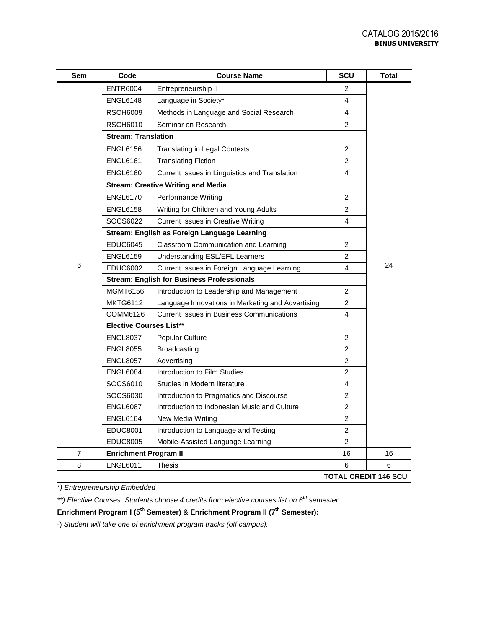| Sem | Code                                              | <b>Course Name</b>                                | SCU            | <b>Total</b>                |
|-----|---------------------------------------------------|---------------------------------------------------|----------------|-----------------------------|
|     | <b>ENTR6004</b>                                   | Entrepreneurship II                               | 2              |                             |
|     | ENGL6148                                          | Language in Society*                              | 4              |                             |
|     | <b>RSCH6009</b>                                   | Methods in Language and Social Research           | 4              |                             |
|     | <b>RSCH6010</b>                                   | Seminar on Research                               | 2              |                             |
|     | <b>Stream: Translation</b>                        |                                                   |                |                             |
|     | <b>ENGL6156</b>                                   | <b>Translating in Legal Contexts</b>              | 2              |                             |
|     | <b>ENGL6161</b>                                   | <b>Translating Fiction</b>                        | $\overline{2}$ |                             |
|     | <b>ENGL6160</b>                                   | Current Issues in Linguistics and Translation     | 4              |                             |
|     |                                                   | <b>Stream: Creative Writing and Media</b>         |                |                             |
|     | <b>ENGL6170</b>                                   | Performance Writing                               | 2              |                             |
|     | <b>ENGL6158</b>                                   | Writing for Children and Young Adults             | $\overline{2}$ |                             |
|     | SOCS6022                                          | <b>Current Issues in Creative Writing</b>         | 4              |                             |
|     |                                                   | Stream: English as Foreign Language Learning      |                |                             |
|     | <b>EDUC6045</b>                                   | Classroom Communication and Learning              | $\overline{2}$ |                             |
|     | <b>ENGL6159</b>                                   | Understanding ESL/EFL Learners                    | 2              |                             |
| 6   | <b>EDUC6002</b>                                   | Current Issues in Foreign Language Learning       | 4              | 24                          |
|     | <b>Stream: English for Business Professionals</b> |                                                   |                |                             |
|     | MGMT6156                                          | Introduction to Leadership and Management         | $\overline{2}$ |                             |
|     | <b>MKTG6112</b>                                   | Language Innovations in Marketing and Advertising | $\overline{2}$ |                             |
|     | COMM6126                                          | <b>Current Issues in Business Communications</b>  | 4              |                             |
|     | <b>Elective Courses List**</b>                    |                                                   |                |                             |
|     | <b>ENGL8037</b>                                   | Popular Culture                                   | $\overline{2}$ |                             |
|     | <b>ENGL8055</b>                                   | Broadcasting                                      | $\overline{2}$ |                             |
|     | <b>ENGL8057</b>                                   | Advertising                                       | $\overline{2}$ |                             |
|     | ENGL6084                                          | Introduction to Film Studies                      | $\overline{c}$ |                             |
|     | SOCS6010                                          | Studies in Modern literature                      | 4              |                             |
|     | SOCS6030                                          | Introduction to Pragmatics and Discourse          | 2              |                             |
|     | <b>ENGL6087</b>                                   | Introduction to Indonesian Music and Culture      | $\overline{c}$ |                             |
|     | <b>ENGL6164</b>                                   | New Media Writing                                 | $\overline{2}$ |                             |
|     | EDUC8001                                          | Introduction to Language and Testing              | 2              |                             |
|     | <b>EDUC8005</b>                                   | Mobile-Assisted Language Learning                 | $\overline{2}$ |                             |
| 7   | <b>Enrichment Program II</b>                      |                                                   | 16             | 16                          |
| 8   | <b>ENGL6011</b>                                   | Thesis                                            | 6              | 6                           |
|     |                                                   |                                                   |                | <b>TOTAL CREDIT 146 SCU</b> |

*\*) Entrepreneurship Embedded*

*\*\*) Elective Courses: Students choose 4 credits from elective courses list on 6th semester*

**Enrichment Program I (5th Semester) & Enrichment Program II (7th Semester):**

-) *Student will take one of enrichment program tracks (off campus).*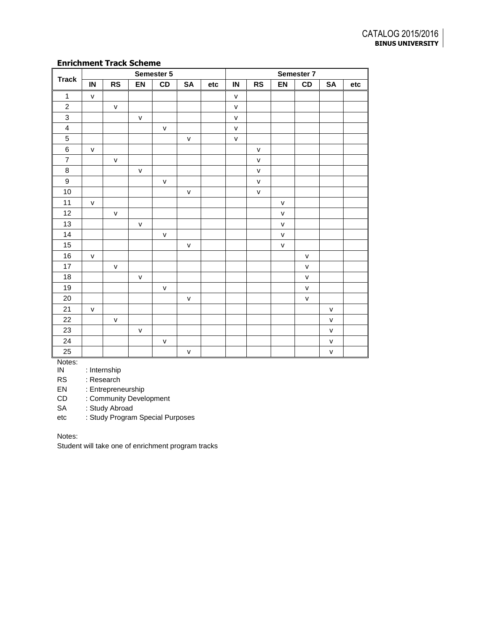## **Enrichment Track Scheme**

|                         |              | Semester 5   |              |              |              |     | Semester 7   |              |              |              |              |     |
|-------------------------|--------------|--------------|--------------|--------------|--------------|-----|--------------|--------------|--------------|--------------|--------------|-----|
| <b>Track</b>            | IN           | RS           | EN           | CD           | SA           | etc | ${\sf IN}$   | <b>RS</b>    | EN           | CD           | SA           | etc |
| $\mathbf{1}$            | $\mathsf{v}$ |              |              |              |              |     | $\mathsf{V}$ |              |              |              |              |     |
| $\sqrt{2}$              |              | $\mathsf{v}$ |              |              |              |     | $\mathsf{v}$ |              |              |              |              |     |
| $\mathsf 3$             |              |              | $\mathsf{v}$ |              |              |     | $\mathsf{V}$ |              |              |              |              |     |
| $\overline{\mathbf{4}}$ |              |              |              | $\mathsf{V}$ |              |     | $\mathsf{v}$ |              |              |              |              |     |
| $\overline{5}$          |              |              |              |              | $\mathsf{V}$ |     | $\mathsf{V}$ |              |              |              |              |     |
| $\,6$                   | $\mathsf{V}$ |              |              |              |              |     |              | $\mathsf{V}$ |              |              |              |     |
| $\overline{\mathbf{7}}$ |              | $\mathsf{V}$ |              |              |              |     |              | ${\sf V}$    |              |              |              |     |
| $\bf 8$                 |              |              | $\mathsf{v}$ |              |              |     |              | $\mathsf{V}$ |              |              |              |     |
| 9                       |              |              |              | $\mathsf{V}$ |              |     |              | ${\sf V}$    |              |              |              |     |
| $10\,$                  |              |              |              |              | $\mathsf{V}$ |     |              | $\mathsf{V}$ |              |              |              |     |
| 11                      | $\mathsf{V}$ |              |              |              |              |     |              |              | $\mathsf{V}$ |              |              |     |
| 12                      |              | $\mathsf{V}$ |              |              |              |     |              |              | $\mathsf{v}$ |              |              |     |
| 13                      |              |              | $\mathsf{V}$ |              |              |     |              |              | ${\sf v}$    |              |              |     |
| 14                      |              |              |              | $\mathsf{V}$ |              |     |              |              | ${\sf v}$    |              |              |     |
| 15                      |              |              |              |              | $\mathsf{V}$ |     |              |              | $\mathsf{V}$ |              |              |     |
| 16                      | $\mathsf{V}$ |              |              |              |              |     |              |              |              | $\mathsf{V}$ |              |     |
| 17                      |              | $\mathsf{V}$ |              |              |              |     |              |              |              | $\mathsf{v}$ |              |     |
| $18\,$                  |              |              | $\mathsf{V}$ |              |              |     |              |              |              | ${\sf v}$    |              |     |
| 19                      |              |              |              | $\mathsf{V}$ |              |     |              |              |              | $\mathsf{v}$ |              |     |
| $20\,$                  |              |              |              |              | $\mathsf{V}$ |     |              |              |              | ${\sf v}$    |              |     |
| 21                      | $\mathsf{V}$ |              |              |              |              |     |              |              |              |              | ${\sf V}$    |     |
| 22                      |              | $\mathsf{V}$ |              |              |              |     |              |              |              |              | $\mathsf{V}$ |     |
| 23                      |              |              | $\mathsf{V}$ |              |              |     |              |              |              |              | $\mathsf{V}$ |     |
| 24                      |              |              |              | $\mathsf{V}$ |              |     |              |              |              |              | $\mathsf{V}$ |     |
| 25                      |              |              |              |              | V            |     |              |              |              |              | $\mathsf{V}$ |     |

Notes:<br>IN

: Internship

RS : Research

EN : Entrepreneurship

CD : Community Development

SA : Study Abroad

etc : Study Program Special Purposes

Notes:

Student will take one of enrichment program tracks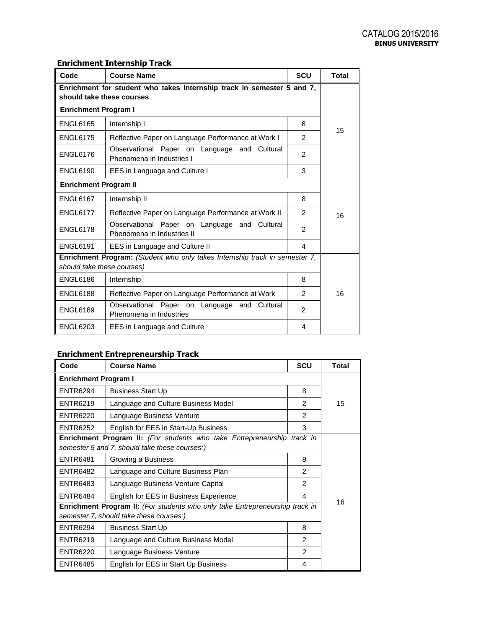# **Enrichment Internship Track**

| Code                                                                                                      | <b>Course Name</b>                                                         | <b>SCU</b>    | <b>Total</b> |  |  |  |
|-----------------------------------------------------------------------------------------------------------|----------------------------------------------------------------------------|---------------|--------------|--|--|--|
| Enrichment for student who takes Internship track in semester 5 and 7,<br>should take these courses       |                                                                            |               |              |  |  |  |
| <b>Enrichment Program I</b>                                                                               |                                                                            |               |              |  |  |  |
| <b>ENGL6165</b>                                                                                           | Internship I                                                               | 8             | 15           |  |  |  |
| <b>ENGL6175</b>                                                                                           | Reflective Paper on Language Performance at Work I                         | 2             |              |  |  |  |
| <b>ENGL6176</b>                                                                                           | Observational Paper on Language and Cultural<br>Phenomena in Industries I  | 2             |              |  |  |  |
| <b>ENGL6190</b>                                                                                           | EES in Language and Culture I                                              | 3             |              |  |  |  |
| <b>Enrichment Program II</b>                                                                              |                                                                            |               |              |  |  |  |
| <b>ENGL6167</b>                                                                                           | Internship II                                                              | 8             |              |  |  |  |
| <b>ENGL6177</b>                                                                                           | Reflective Paper on Language Performance at Work II                        | $\mathcal{P}$ | 16           |  |  |  |
| <b>ENGL6178</b>                                                                                           | Observational Paper on Language and Cultural<br>Phenomena in Industries II | 2             |              |  |  |  |
| <b>ENGL6191</b>                                                                                           | EES in Language and Culture II                                             | 4             |              |  |  |  |
| Enrichment Program: (Student who only takes Internship track in semester 7,<br>should take these courses) |                                                                            |               |              |  |  |  |
| <b>ENGL6186</b>                                                                                           | Internship                                                                 | 8             |              |  |  |  |
| <b>ENGL6188</b>                                                                                           | Reflective Paper on Language Performance at Work                           | $\mathcal{P}$ | 16           |  |  |  |
| <b>ENGL6189</b>                                                                                           | Observational Paper on Language and Cultural<br>Phenomena in Industries    | 2             |              |  |  |  |
| <b>ENGL6203</b>                                                                                           | EES in Language and Culture                                                | 4             |              |  |  |  |

# **Enrichment Entrepreneurship Track**

| Code                                                                                                                           | <b>Course Name</b>                                                                                                              | <b>SCU</b>     | <b>Total</b> |  |  |
|--------------------------------------------------------------------------------------------------------------------------------|---------------------------------------------------------------------------------------------------------------------------------|----------------|--------------|--|--|
| <b>Enrichment Program I</b>                                                                                                    |                                                                                                                                 |                |              |  |  |
| <b>ENTR6294</b>                                                                                                                | <b>Business Start Up</b>                                                                                                        | 8              |              |  |  |
| <b>ENTR6219</b>                                                                                                                | Language and Culture Business Model                                                                                             | $\mathcal{P}$  | 15           |  |  |
| ENTR6220                                                                                                                       | Language Business Venture                                                                                                       | 2              |              |  |  |
| <b>ENTR6252</b>                                                                                                                | English for EES in Start-Up Business                                                                                            | 3              |              |  |  |
|                                                                                                                                | <b>Enrichment Program II:</b> (For students who take Entrepreneurship track in<br>semester 5 and 7, should take these courses:) |                |              |  |  |
| <b>ENTR6481</b>                                                                                                                | Growing a Business                                                                                                              |                |              |  |  |
| ENTR6482                                                                                                                       | Language and Culture Business Plan                                                                                              | $\mathcal{P}$  |              |  |  |
| <b>ENTR6483</b>                                                                                                                | Language Business Venture Capital                                                                                               | $\mathfrak{p}$ |              |  |  |
| <b>ENTR6484</b>                                                                                                                | English for EES in Business Experience                                                                                          | 4              | 16           |  |  |
| <b>Enrichment Program II:</b> (For students who only take Entrepreneurship track in<br>semester 7, should take these courses:) |                                                                                                                                 |                |              |  |  |
| <b>ENTR6294</b><br><b>Business Start Up</b>                                                                                    |                                                                                                                                 | 8              |              |  |  |
| <b>ENTR6219</b>                                                                                                                | Language and Culture Business Model                                                                                             | $\mathcal{P}$  |              |  |  |
| <b>ENTR6220</b>                                                                                                                | Language Business Venture                                                                                                       | $\mathcal{P}$  |              |  |  |
| <b>ENTR6485</b>                                                                                                                | English for EES in Start Up Business                                                                                            | 4              |              |  |  |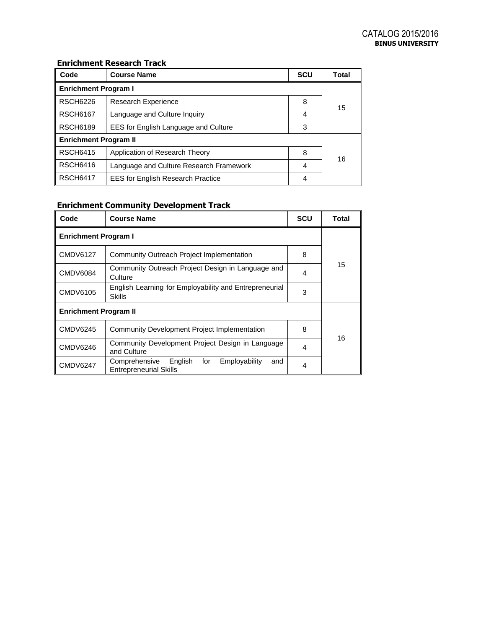## **Enrichment Research Track**

| Code                         | <b>Course Name</b>                        | <b>SCU</b> | Total |  |  |
|------------------------------|-------------------------------------------|------------|-------|--|--|
| <b>Enrichment Program I</b>  |                                           |            |       |  |  |
| <b>RSCH6226</b>              | Research Experience                       | 8          | 15    |  |  |
| <b>RSCH6167</b>              | Language and Culture Inquiry              | 4          |       |  |  |
| <b>RSCH6189</b>              | EES for English Language and Culture<br>3 |            |       |  |  |
| <b>Enrichment Program II</b> |                                           |            |       |  |  |
| <b>RSCH6415</b>              | Application of Research Theory            | 8          | 16    |  |  |
| <b>RSCH6416</b>              | Language and Culture Research Framework   | 4          |       |  |  |
| <b>RSCH6417</b>              | <b>EES for English Research Practice</b>  | 4          |       |  |  |

# **Enrichment Community Development Track**

| Code                         | <b>Course Name</b>                                                                       | <b>SCU</b> | Total |  |  |  |
|------------------------------|------------------------------------------------------------------------------------------|------------|-------|--|--|--|
| <b>Enrichment Program I</b>  |                                                                                          |            |       |  |  |  |
| <b>CMDV6127</b>              | Community Outreach Project Implementation                                                | 8          |       |  |  |  |
| <b>CMDV6084</b>              | Community Outreach Project Design in Language and<br>Culture                             | 4          | 15    |  |  |  |
| CMDV6105                     | English Learning for Employability and Entrepreneurial<br><b>Skills</b>                  | 3          |       |  |  |  |
| <b>Enrichment Program II</b> |                                                                                          |            |       |  |  |  |
| CMDV6245                     | Community Development Project Implementation                                             | 8          |       |  |  |  |
| CMDV6246                     | Community Development Project Design in Language<br>and Culture                          | 4          | 16    |  |  |  |
| <b>CMDV6247</b>              | English<br>Employability<br>Comprehensive<br>for<br>and<br><b>Entrepreneurial Skills</b> | 4          |       |  |  |  |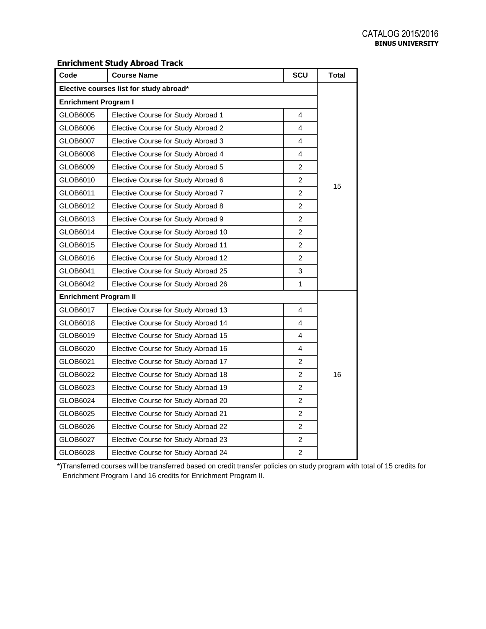## **Enrichment Study Abroad Track**

| Code                                    | <b>Course Name</b>                  | SCU            | <b>Total</b> |  |  |  |
|-----------------------------------------|-------------------------------------|----------------|--------------|--|--|--|
| Elective courses list for study abroad* |                                     |                |              |  |  |  |
| <b>Enrichment Program I</b>             |                                     |                |              |  |  |  |
| GLOB6005                                | Elective Course for Study Abroad 1  | 4              |              |  |  |  |
| GLOB6006                                | Elective Course for Study Abroad 2  | 4              |              |  |  |  |
| GLOB6007                                | Elective Course for Study Abroad 3  | 4              |              |  |  |  |
| GLOB6008                                | Elective Course for Study Abroad 4  | 4              |              |  |  |  |
| GLOB6009                                | Elective Course for Study Abroad 5  | $\overline{c}$ |              |  |  |  |
| GLOB6010                                | Elective Course for Study Abroad 6  | $\overline{c}$ |              |  |  |  |
| GLOB6011                                | Elective Course for Study Abroad 7  | $\overline{c}$ | 15           |  |  |  |
| GLOB6012                                | Elective Course for Study Abroad 8  | $\overline{2}$ |              |  |  |  |
| GLOB6013                                | Elective Course for Study Abroad 9  | $\overline{c}$ |              |  |  |  |
| GLOB6014                                | Elective Course for Study Abroad 10 | $\overline{c}$ |              |  |  |  |
| GLOB6015                                | Elective Course for Study Abroad 11 | $\overline{c}$ |              |  |  |  |
| GLOB6016                                | Elective Course for Study Abroad 12 | $\overline{2}$ |              |  |  |  |
| GLOB6041                                | Elective Course for Study Abroad 25 | 3              |              |  |  |  |
| GLOB6042                                | Elective Course for Study Abroad 26 | 1              |              |  |  |  |
| <b>Enrichment Program II</b>            |                                     |                |              |  |  |  |
| GLOB6017                                | Elective Course for Study Abroad 13 | 4              |              |  |  |  |
| GLOB6018                                | Elective Course for Study Abroad 14 | 4              |              |  |  |  |
| GLOB6019                                | Elective Course for Study Abroad 15 | 4              |              |  |  |  |
| GLOB6020                                | Elective Course for Study Abroad 16 | 4              |              |  |  |  |
| GLOB6021                                | Elective Course for Study Abroad 17 | 2              |              |  |  |  |
| GLOB6022                                | Elective Course for Study Abroad 18 | $\overline{2}$ | 16           |  |  |  |
| GLOB6023                                | Elective Course for Study Abroad 19 | $\overline{c}$ |              |  |  |  |
| GLOB6024                                | Elective Course for Study Abroad 20 | $\overline{c}$ |              |  |  |  |
| GLOB6025                                | Elective Course for Study Abroad 21 | $\overline{2}$ |              |  |  |  |
| GLOB6026                                | Elective Course for Study Abroad 22 | $\overline{2}$ |              |  |  |  |
| GLOB6027                                | Elective Course for Study Abroad 23 | $\overline{2}$ |              |  |  |  |
| GLOB6028                                | Elective Course for Study Abroad 24 | $\overline{c}$ |              |  |  |  |

\*)Transferred courses will be transferred based on credit transfer policies on study program with total of 15 credits for Enrichment Program I and 16 credits for Enrichment Program II.